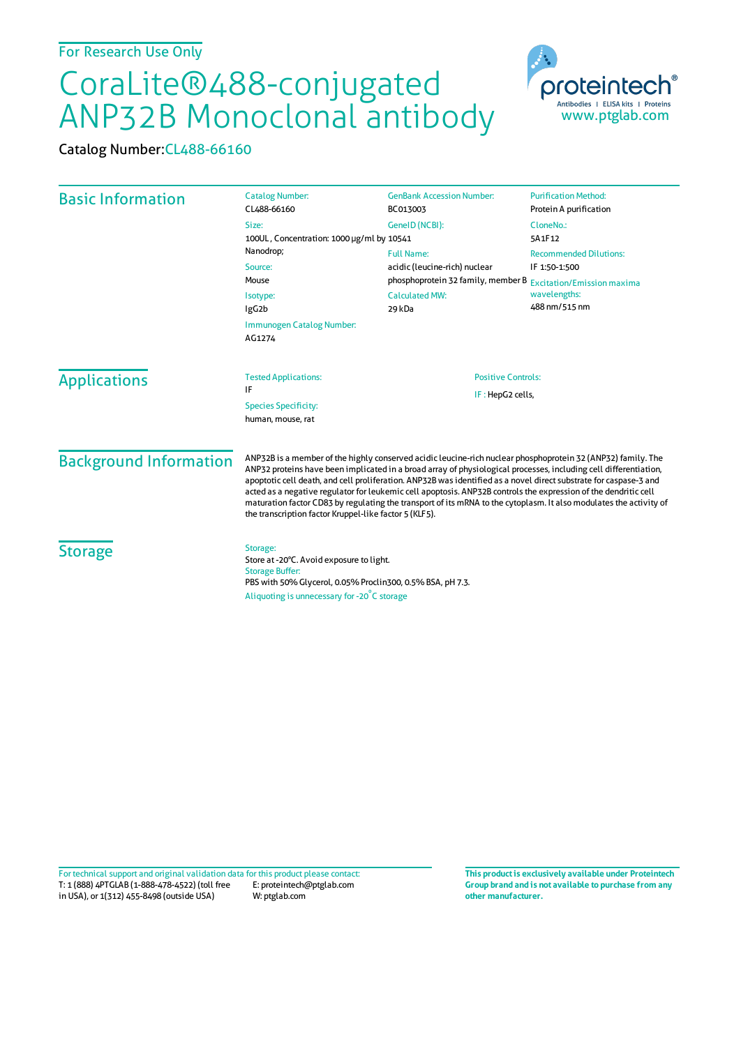## CoraLite®488-conjugated ANP32B Monoclonal antibody

Catalog Number:CL488-66160

| <b>Basic Information</b>      | <b>Catalog Number:</b><br>CL488-66160                                                                                                                                                                                                                                                                                                                                                                                                                                                                                                                                                                                                                    | <b>GenBank Accession Number:</b><br>BC013003                                                                                                           | <b>Purification Method:</b><br>Protein A purification                           |
|-------------------------------|----------------------------------------------------------------------------------------------------------------------------------------------------------------------------------------------------------------------------------------------------------------------------------------------------------------------------------------------------------------------------------------------------------------------------------------------------------------------------------------------------------------------------------------------------------------------------------------------------------------------------------------------------------|--------------------------------------------------------------------------------------------------------------------------------------------------------|---------------------------------------------------------------------------------|
|                               | Size:<br>GeneID (NCBI):<br>100UL, Concentration: 1000 µg/ml by 10541                                                                                                                                                                                                                                                                                                                                                                                                                                                                                                                                                                                     |                                                                                                                                                        | CloneNo.:<br>5A1F12                                                             |
|                               | Nanodrop;<br>Source:<br>Mouse<br>Isotype:<br>IgG <sub>2</sub> b<br>Immunogen Catalog Number:<br>AG1274                                                                                                                                                                                                                                                                                                                                                                                                                                                                                                                                                   | <b>Full Name:</b><br>acidic (leucine-rich) nuclear<br>phosphoprotein 32 family, member B Excitation/Emission maxima<br><b>Calculated MW:</b><br>29 kDa | <b>Recommended Dilutions:</b><br>IF 1:50-1:500<br>wavelengths:<br>488 nm/515 nm |
| <b>Applications</b>           | <b>Tested Applications:</b><br>IF<br><b>Species Specificity:</b><br>human, mouse, rat                                                                                                                                                                                                                                                                                                                                                                                                                                                                                                                                                                    | <b>Positive Controls:</b><br>IF: HepG2 cells,                                                                                                          |                                                                                 |
| <b>Background Information</b> | ANP32B is a member of the highly conserved acidic leucine-rich nuclear phosphoprotein 32 (ANP32) family. The<br>ANP32 proteins have been implicated in a broad array of physiological processes, including cell differentiation,<br>apoptotic cell death, and cell proliferation. ANP32B was identified as a novel direct substrate for caspase-3 and<br>acted as a negative regulator for leukemic cell apoptosis. ANP32B controls the expression of the dendritic cell<br>maturation factor CD83 by regulating the transport of its mRNA to the cytoplasm. It also modulates the activity of<br>the transcription factor Kruppel-like factor 5 (KLF5). |                                                                                                                                                        |                                                                                 |
| <b>Storage</b>                | Storage:<br>Store at -20°C. Avoid exposure to light.<br><b>Storage Buffer:</b><br>PBS with 50% Glycerol, 0.05% Proclin300, 0.5% BSA, pH 7.3.<br>Aliquoting is unnecessary for -20°C storage                                                                                                                                                                                                                                                                                                                                                                                                                                                              |                                                                                                                                                        |                                                                                 |

T: 1 (888) 4PTGLAB (1-888-478-4522) (toll free in USA), or 1(312) 455-8498 (outside USA) E: proteintech@ptglab.com W: ptglab.com Fortechnical support and original validation data forthis product please contact: **This productis exclusively available under Proteintech**

**Group brand and is not available to purchase from any other manufacturer.**